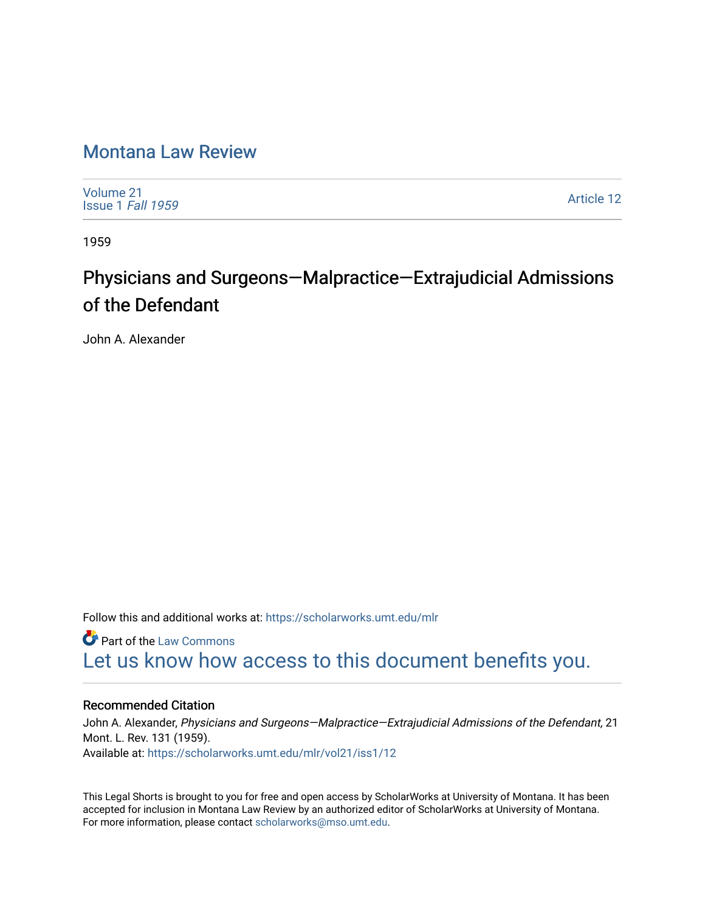## [Montana Law Review](https://scholarworks.umt.edu/mlr)

[Volume 21](https://scholarworks.umt.edu/mlr/vol21) [Issue 1](https://scholarworks.umt.edu/mlr/vol21/iss1) Fall 1959

[Article 12](https://scholarworks.umt.edu/mlr/vol21/iss1/12) 

1959

## Physicians and Surgeons—Malpractice—Extrajudicial Admissions of the Defendant

John A. Alexander

Follow this and additional works at: [https://scholarworks.umt.edu/mlr](https://scholarworks.umt.edu/mlr?utm_source=scholarworks.umt.edu%2Fmlr%2Fvol21%2Fiss1%2F12&utm_medium=PDF&utm_campaign=PDFCoverPages) 

**Part of the [Law Commons](http://network.bepress.com/hgg/discipline/578?utm_source=scholarworks.umt.edu%2Fmlr%2Fvol21%2Fiss1%2F12&utm_medium=PDF&utm_campaign=PDFCoverPages)** [Let us know how access to this document benefits you.](https://goo.gl/forms/s2rGfXOLzz71qgsB2) 

## Recommended Citation

John A. Alexander, Physicians and Surgeons—Malpractice—Extrajudicial Admissions of the Defendant, 21 Mont. L. Rev. 131 (1959). Available at: [https://scholarworks.umt.edu/mlr/vol21/iss1/12](https://scholarworks.umt.edu/mlr/vol21/iss1/12?utm_source=scholarworks.umt.edu%2Fmlr%2Fvol21%2Fiss1%2F12&utm_medium=PDF&utm_campaign=PDFCoverPages)

This Legal Shorts is brought to you for free and open access by ScholarWorks at University of Montana. It has been accepted for inclusion in Montana Law Review by an authorized editor of ScholarWorks at University of Montana. For more information, please contact [scholarworks@mso.umt.edu.](mailto:scholarworks@mso.umt.edu)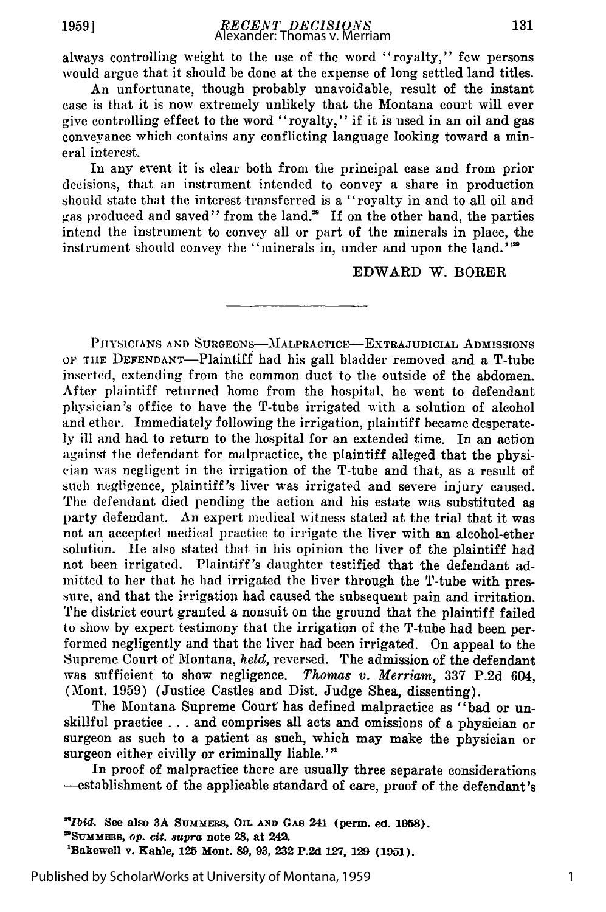always controlling weight to the use of the word "royalty," few persons would argue that it should be done at the expense of long settled land titles.

An unfortunate, though probably unavoidable, result of the instant case is that it is now extremely unlikely that the Montana court will ever give controlling effect to the word "royalty," if it is used in an oil and gas conveyance which contains any conflicting language looking toward a mineral interest.

In any event it is clear both from the principal case and from prior decisions, that an instrument intended to convey a share in production should state that the interest transferred is a "royalty in and to all oil and gas produced and saved" from the land.<sup>28</sup> If on the other hand, the parties intend the instrument to convey all or part of the minerals in place, the instrument should convey the "minerals in, under and upon the land."<sup>2</sup>

EDWARD W. BORER

PHYSICIANS AND SURGEONS-MALPRACTICE-EXTRAJUDICIAL ADMISSIONS OF THE DEFENDANT-Plaintiff had his gall bladder removed and a T-tube inserted, extending from the common duct to the outside of the abdomen. After plaintiff returned home from the hospital, he went to defendant physician's office to have the T-tube irrigated with a solution of alcohol and ether. Immediately following the irrigation, plaintiff became desperately ill and had to return to the hospital for an extended time. In an action against the defendant for malpractice, the plaintiff alleged that the physician was negligent in the irrigation of the T-tube and that, as a result of such negligence, plaintiff's liver was irrigated and severe injury caused. The defendant died pending the action and his estate was substituted as party defendant. An expert medical witness stated at the trial that it was not an accepted medical practice to irrigate the liver with an alcohol-ether solution. He also stated that in his opinion the liver of the plaintiff had not been irrigated. Plaintiff's daughter testified that the defendant admitted to her that he had irrigated the liver through the T-tube with pressure, and that the irrigation had caused the subsequent pain and irritation. The district court granted a nonsuit on the ground that the plaintiff failed to show by expert testimony that the irrigation of the T-tube had been performed negligently and that the liver had been irrigated. On appeal to the Supreme Court of Montana, *held,* reversed. The admission of the defendant was sufficient to show negligence. *Thomas v. Merriam.,* 337 P.2d 604, (Mont. 1959) (Justice Castles and Dist. Judge Shea, dissenting).

The Montana Supreme Court has defined malpractice as "bad or unskillful practice . . . and comprises all acts and omissions of a physician or surgeon as such to a patient as such, which may make the physician or surgeon either civilly or criminally liable.'"

In proof of malpractice there are usually three separate considerations -establishment of the applicable standard of care, proof of the defendant's

Published by ScholarWorks at University of Montana, 1959

1

*<sup>&</sup>quot;Ibid .* **See also 3A SUMMERS, OIL AND GAS 241 (perm.** ed. **1958). 2SuMMms, op. cit.** *supra* **note 28, at 242.**

**<sup>&#</sup>x27;Bakewell v. Kahle, 125 Mont. 89, 93, 232 P.2d 127, 129 (1951).**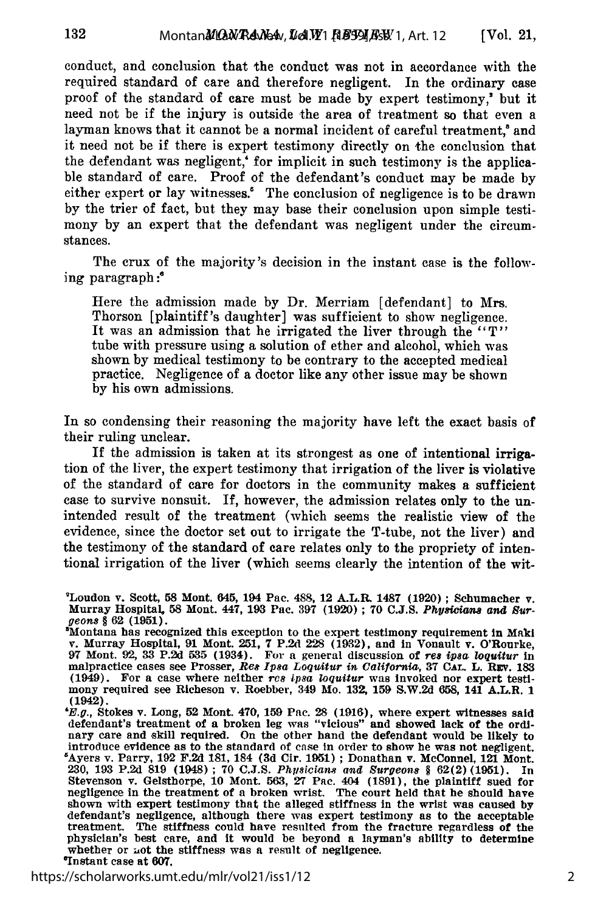conduct, and conclusion that the conduct was not in accordance with the required standard of care and therefore negligent. In the ordinary case proof of the standard of care must be made by expert testimony,' but it need not be if the injury is outside the area of treatment so that even a layman knows that it cannot be a normal incident of careful treatment,<sup>8</sup> and it need not be if there is expert testimony directly on the conclusion that the defendant was negligent,' for implicit in such testimony is the applicable standard of care. Proof of the defendant's conduct may be made by either expert or lay witnesses.' The conclusion of negligence is to be drawn by the trier of fact, but they may base their conclusion upon simple testimony by an expert that the defendant was negligent under the circumstances.

The crux of the majority's decision in the instant case is the following paragraph :'

Here the admission made by Dr. Merriam [defendant] to Mrs. Thorson [plaintiff's daughter] was sufficient to show negligence. It was an admission that he irrigated the liver through the "T" tube with pressure using a solution of ether and alcohol, which was shown by medical testimony to be contrary to the accepted medical practice. Negligence of a doctor like any other issue may be shown by his own admissions.

In so condensing their reasoning the majority have left the exact basis of their ruling unclear.

If the admission is taken at its strongest as one of intentional irrigation of the liver, the expert testimony that irrigation of the liver is violative of the standard of care for doctors in the community makes a sufficient case to survive nonsuit. If, however, the admission relates only to the unintended result of the treatment (which seems the realistic view of the evidence, since the doctor set out to irrigate the T-tube, not the liver) and the testimony of the standard of care relates only to the propriety of intentional irrigation of the liver (which seems clearly the intention of the wit-

https://scholarworks.umt.edu/mlr/vol21/iss1/12

<sup>&#</sup>x27;Loudon v. Scott, **58** Mont. **645,** 194 Pac. 488, 12 A.L.R. **1487 (1920) ;** Schumacher v. Murray Hospital 58 Mont. 447, **193** Pac. **397 (1920) ; 70 C.J.S.** *Physiciaas and Sur-*

*geons §* **62 (1951).** 'Montana has recognized this exception to the expert testimony requirement in Maki v. Murray Hospital, **91** Mont. **251, 7 P.2d** 228 **(1932),** and in Vonault v. O'Rourke, **97** Mont. **92, 33 P.2d 535** (1934). For a general discussion of *res* **ipsa** *loquitur* in malpractice cases see Prosser, *Reg Ipsa Loquitur in California,* **37 CaL** L. Rzv. **183** (1949). For a case where neither *res ipsa loquitur* was invoked nor expert testimony required see Richeson v. Roebber, 349 Mo. 13Z **159** S.W.2d **658,** 141 A.L.R. 1 (1942).

**<sup>&#</sup>x27;E.g.,** Stokes v. Long, **52** Mont. 470, **159** Pac. **28 (1916),** where expert witnesses said defendant's treatment of a broken leg was "vicious" and showed lack of the ordinary care and skill required. On the other hand the defendant would be likely to introduce evidence as to the standard of case in order to show he was not negligent. introduce evidence as to the standard of case in order to show he was not negligent<br>
"Ayers v. Parry, 192 F.2d 181, 184 (3d Cir. 1951); Donathan v. McConnel, 121 Mont<br>
230, 193 P.2d 819 (1948); 70 C.J.S. Physicians and Sur Stevenson v. Gelsthorpe, **10** Mont. **563, 27** Pac. 404 **(1891),** the plaintiff sued for negligence in the treatment of a broken wrist. The court held that he should have shown with expert testimony that the alleged stiffness in the wrist was caused **by** defendant's negligence, although there was expert testimony as to the acceptable treatment. The stiffness could have resulted from the fracture regardless of the physician's best care, and it would be beyond a layman's ability to determine whether or not the stiffness was a result of negligence. 'Instant case at **607.**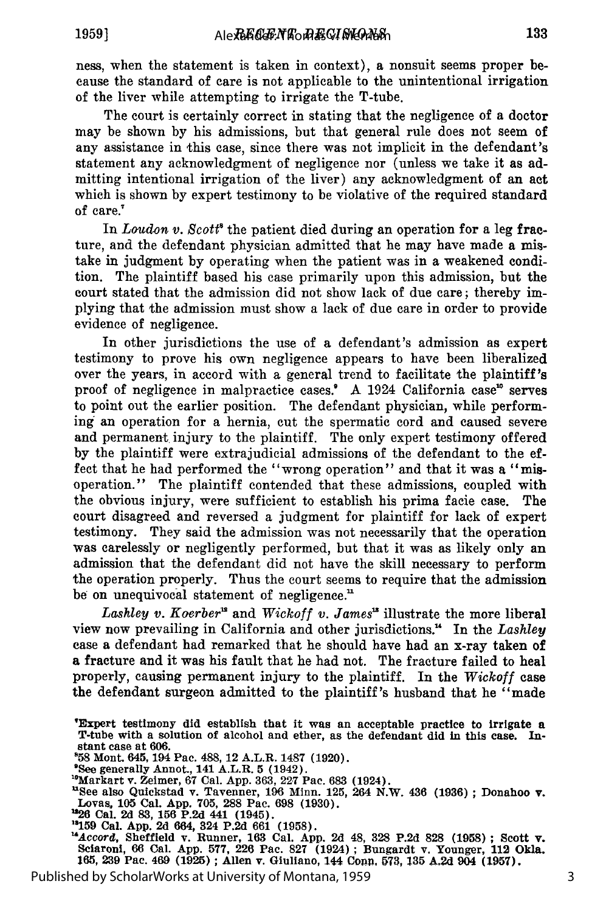ness, when the statement is taken in context), a nonsuit seems proper because the standard of care is not applicable to the unintentional irrigation of the liver while attempting to irrigate the T-tube.

The court is certainly correct in stating that the negligence of a doctor may be shown by his admissions, but that general rule does not seem of any assistance in this case, since there was not implicit in the defendant's statement any acknowledgment of negligence nor (unless we take it as admitting intentional irrigation of the liver) any acknowledgment of an act which is shown by expert testimony to be violative of the required standard of care."

In *Loudon v. Scott*<sup>\*</sup> the patient died during an operation for a leg fracture, and the defendant physician admitted that he may have made a mistake in judgment by operating when the patient was in a weakened condition. The plaintiff based his case primarily upon this admission, but the court stated that the admission did not show lack of due care; thereby implying that the admission must show a lack of due care in order to provide evidence of negligence.

In other jurisdictions the use of a defendant's admission as expert testimony to prove his own negligence appears to have been liberalized over the years, in accord with a general trend to facilitate the plaintiff's proof of negligence in malpractice cases.' A 1924 California case<sup>16</sup> serves to point out the earlier position. The defendant physician, while performing an operation for a hernia, cut the spermatic cord and caused severe and permanent injury to the plaintiff. The only expert testimony offered by the plaintiff were extrajudicial admissions of the defendant to the effect that he had performed the "wrong operation" and that it was a "misoperation." The plaintiff contended that these admissions, coupled with the obvious injury, were sufficient to establish his prima facie case. The court disagreed and reversed a judgment for plaintiff for lack of expert testimony. They said the admission was not necessarily that the operation was carelessly or negligently performed, but that it was as likely only an admission that the defendant did not have the skill necessary to perform the operation properly. Thus the court seems to require that the admission be on unequivocal statement of negligence."

Lashley v. Koerber<sup>12</sup> and *Wickoff v. James*<sup>12</sup> illustrate the more liberal view now prevailing in California and other jurisdictions. " In the *Lashley* case a defendant had remarked that he should have had an x-ray taken of a fracture and it was his fault that he had not. The fracture failed to heal properly, causing permanent injury to the plaintiff. In the *Wickoff* case the defendant surgeon admitted to the plaintiff's husband that he "made

See generally Annot., 141 A.L.R. 5 (1942).<br>
"Markart v. Zeimer, 67 Cal. App. 363, 227 Pac. 683 (1924).

<sup>19</sup>Markart v. Zeimer, 67 Cal. App. 363, 227 Pac. 683 (1924).<br><sup>18</sup>Markart v. Zeimer, 67 Cal. App. 363, 227 Pac. 683 (1924).<br><sup>11</sup>See also Quickstad v. Tavenner, 196 Minn. 125, 264 N.W. 436 (1936); Donahoo v.<br>Lovas, 105 Cal.

<sup>12</sup>26 Cal. 2d 83, 156 P.2d 441 (1945).<br><sup>13</sup>159 Cal. App. 2d 664, 324 P.2d 661 (1958).<br><sup>14</sup>Accord, Sheffield v. Runner, 163 Cal. App. 2d 48, 328 P.2d 828 (1958); Scott v.<br>Sciaroni, 66 Cal. App. 577, 226 Pac. 827 (1924); Bu **165, 239** Pac. 469 **(1925) ;** Allen v. Gluliano, 144 Conn, **573, 135 A,2d** 904 **(1957).**

Published by ScholarWorks at University of Montana, 1959

<sup>&#</sup>x27;Expert testimony **did** establish that it was an acceptable practice to irrigate **<sup>a</sup>** T-tube with a solution of alcohol and ether, as the defendant did in this case. Instant case at **606.**

**<sup>858</sup>**Mont. 645, 194 Pac. **488, 12** A.L.R. 1487 **(1920).** <sup>9</sup>